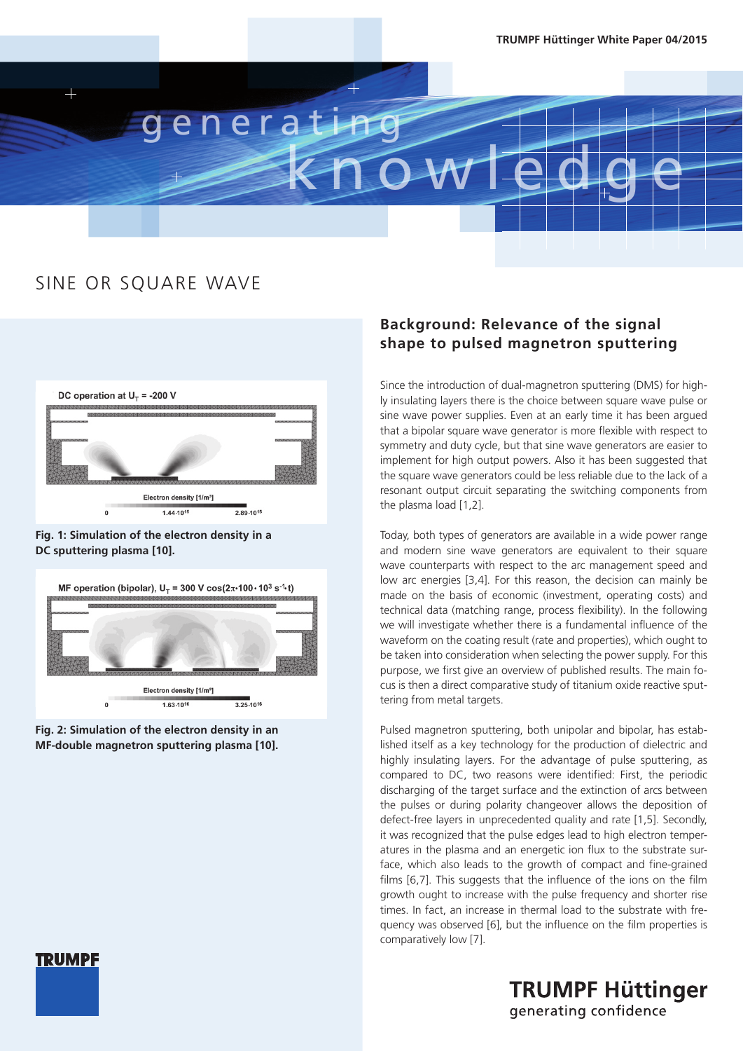

### SINE OR SQuARE WAVE



#### **Fig. 1: Simulation of the electron density in a DC sputtering plasma [10].**



**Fig. 2: Simulation of the electron density in an MF-double magnetron sputtering plasma [10].** 

#### **Background: Relevance of the signal shape to pulsed magnetron sputtering**

Since the introduction of dual-magnetron sputtering (DMS) for highly insulating layers there is the choice between square wave pulse or sine wave power supplies. Even at an early time it has been argued that a bipolar square wave generator is more flexible with respect to symmetry and duty cycle, but that sine wave generators are easier to implement for high output powers. Also it has been suggested that the square wave generators could be less reliable due to the lack of a resonant output circuit separating the switching components from the plasma load [1,2].

Today, both types of generators are available in a wide power range and modern sine wave generators are equivalent to their square wave counterparts with respect to the arc management speed and low arc energies [3,4]. For this reason, the decision can mainly be made on the basis of economic (investment, operating costs) and technical data (matching range, process flexibility). In the following we will investigate whether there is a fundamental influence of the waveform on the coating result (rate and properties), which ought to be taken into consideration when selecting the power supply. For this purpose, we first give an overview of published results. The main focus is then a direct comparative study of titanium oxide reactive sputtering from metal targets.

Pulsed magnetron sputtering, both unipolar and bipolar, has established itself as a key technology for the production of dielectric and highly insulating layers. For the advantage of pulse sputtering, as compared to DC, two reasons were identified: First, the periodic discharging of the target surface and the extinction of arcs between the pulses or during polarity changeover allows the deposition of defect-free layers in unprecedented quality and rate [1,5]. Secondly, it was recognized that the pulse edges lead to high electron temperatures in the plasma and an energetic ion flux to the substrate surface, which also leads to the growth of compact and fine-grained films [6,7]. This suggests that the influence of the ions on the film growth ought to increase with the pulse frequency and shorter rise times. In fact, an increase in thermal load to the substrate with frequency was observed [6], but the influence on the film properties is comparatively low [7].

> **TRUMPF Hüttinger** generating confidence

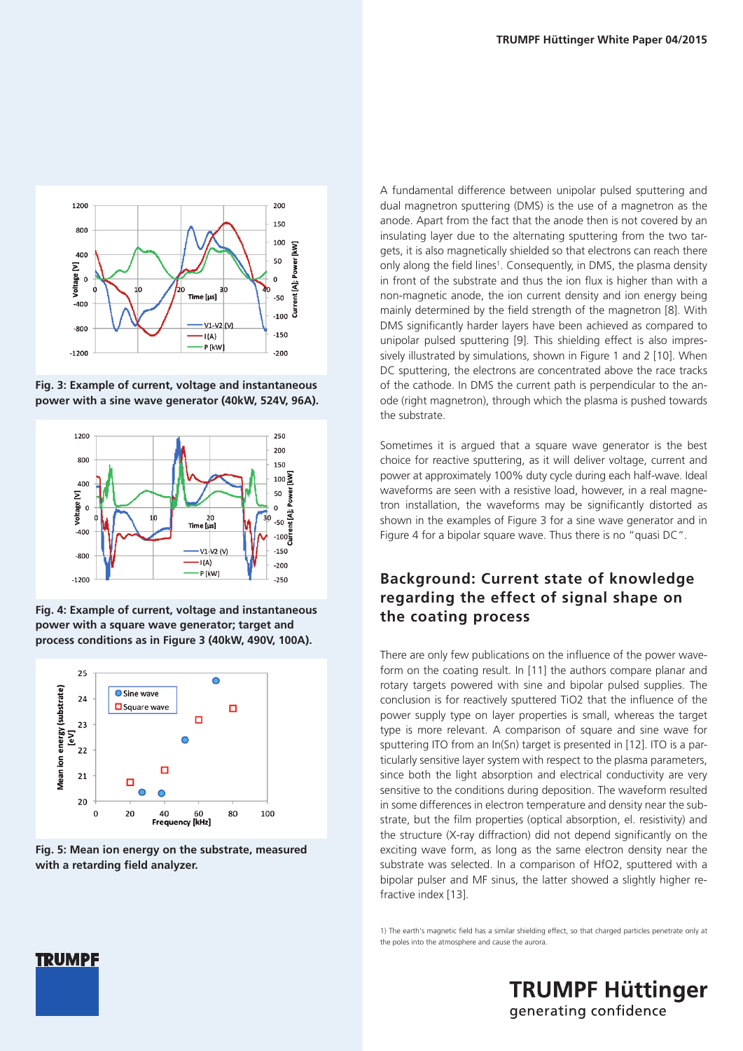

**Fig. 3: Example of current, voltage and instantaneous power with a sine wave generator (40kW, 524V, 96A).**



**Fig. 4: Example of current, voltage and instantaneous power with a square wave generator; target and process conditions as in Figure 3 (40kW, 490V, 100A).**





A fundamental difference between unipolar pulsed sputtering and dual magnetron sputtering (DMS) is the use of a magnetron as the anode. Apart from the fact that the anode then is not covered by an insulating layer due to the alternating sputtering from the two targets, it is also magnetically shielded so that electrons can reach there only along the field lines<sup>1</sup>. Consequently, in DMS, the plasma density in front of the substrate and thus the ion flux is higher than with a non-magnetic anode, the ion current density and ion energy being mainly determined by the field strength of the magnetron [8]. With DMS significantly harder layers have been achieved as compared to unipolar pulsed sputtering [9]. This shielding effect is also impressively illustrated by simulations, shown in Figure 1 and 2 [10]. When DC sputtering, the electrons are concentrated above the race tracks of the cathode. In DMS the current path is perpendicular to the anode (right magnetron), through which the plasma is pushed towards the substrate.

Sometimes it is argued that a square wave generator is the best choice for reactive sputtering, as it will deliver voltage, current and power at approximately 100% duty cycle during each half-wave. Ideal waveforms are seen with a resistive load, however, in a real magnetron installation, the waveforms may be significantly distorted as shown in the examples of Figure 3 for a sine wave generator and in Figure 4 for a bipolar square wave. Thus there is no "quasi DC".

#### **Background: Current state of knowledge regarding the effect of signal shape on the coating process**

There are only few publications on the influence of the power waveform on the coating result. In [11] the authors compare planar and rotary targets powered with sine and bipolar pulsed supplies. The conclusion is for reactively sputtered TiO2 that the influence of the power supply type on layer properties is small, whereas the target type is more relevant. A comparison of square and sine wave for sputtering ITO from an In(Sn) target is presented in [12]. ITO is a particularly sensitive layer system with respect to the plasma parameters, since both the light absorption and electrical conductivity are very sensitive to the conditions during deposition. The waveform resulted in some differences in electron temperature and density near the substrate, but the film properties (optical absorption, el. resistivity) and the structure (X-ray diffraction) did not depend significantly on the exciting wave form, as long as the same electron density near the substrate was selected. In a comparison of HfO2, sputtered with a bipolar pulser and MF sinus, the latter showed a slightly higher refractive index [13].

1) The earth's magnetic field has a similar shielding effect, so that charged particles penetrate only at the poles into the atmosphere and cause the aurora.

> **TRUMPF Hüttinger** generating confidence

## **TRUMPF**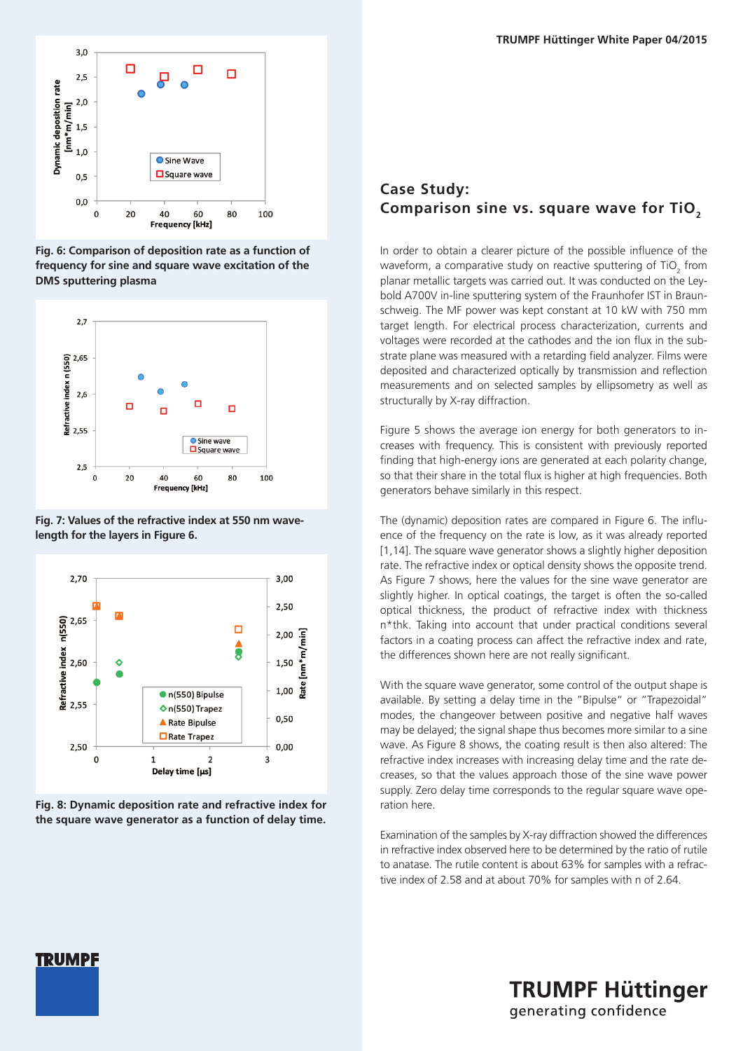

**Fig. 6: Comparison of deposition rate as a function of frequency for sine and square wave excitation of the DMS sputtering plasma** 



**Fig. 7: Values of the refractive index at 550 nm wavelength for the layers in Figure 6.**



**Fig. 8: Dynamic deposition rate and refractive index for the square wave generator as a function of delay time.**

#### **Case Study:**  Comparison sine vs. square wave for TiO<sub>2</sub>

In order to obtain a clearer picture of the possible influence of the waveform, a comparative study on reactive sputtering of TiO<sub>2</sub> from planar metallic targets was carried out. It was conducted on the Leybold A700V in-line sputtering system of the Fraunhofer IST in Braunschweig. The MF power was kept constant at 10 kW with 750 mm target length. For electrical process characterization, currents and voltages were recorded at the cathodes and the ion flux in the substrate plane was measured with a retarding field analyzer. Films were deposited and characterized optically by transmission and reflection measurements and on selected samples by ellipsometry as well as structurally by X-ray diffraction.

Figure 5 shows the average ion energy for both generators to increases with frequency. This is consistent with previously reported finding that high-energy ions are generated at each polarity change, so that their share in the total flux is higher at high frequencies. Both generators behave similarly in this respect.

The (dynamic) deposition rates are compared in Figure 6. The influence of the frequency on the rate is low, as it was already reported [1,14]. The square wave generator shows a slightly higher deposition rate. The refractive index or optical density shows the opposite trend. As Figure 7 shows, here the values for the sine wave generator are slightly higher. In optical coatings, the target is often the so-called optical thickness, the product of refractive index with thickness n\*thk. Taking into account that under practical conditions several factors in a coating process can affect the refractive index and rate, the differences shown here are not really significant.

With the square wave generator, some control of the output shape is available. By setting a delay time in the "Bipulse" or "Trapezoidal" modes, the changeover between positive and negative half waves may be delayed; the signal shape thus becomes more similar to a sine wave. As Figure 8 shows, the coating result is then also altered: The refractive index increases with increasing delay time and the rate decreases, so that the values approach those of the sine wave power supply. Zero delay time corresponds to the regular square wave operation here.

Examination of the samples by X-ray diffraction showed the differences in refractive index observed here to be determined by the ratio of rutile to anatase. The rutile content is about 63% for samples with a refractive index of 2.58 and at about 70% for samples with n of 2.64.



**TRUMPF Hüttinger** generating confidence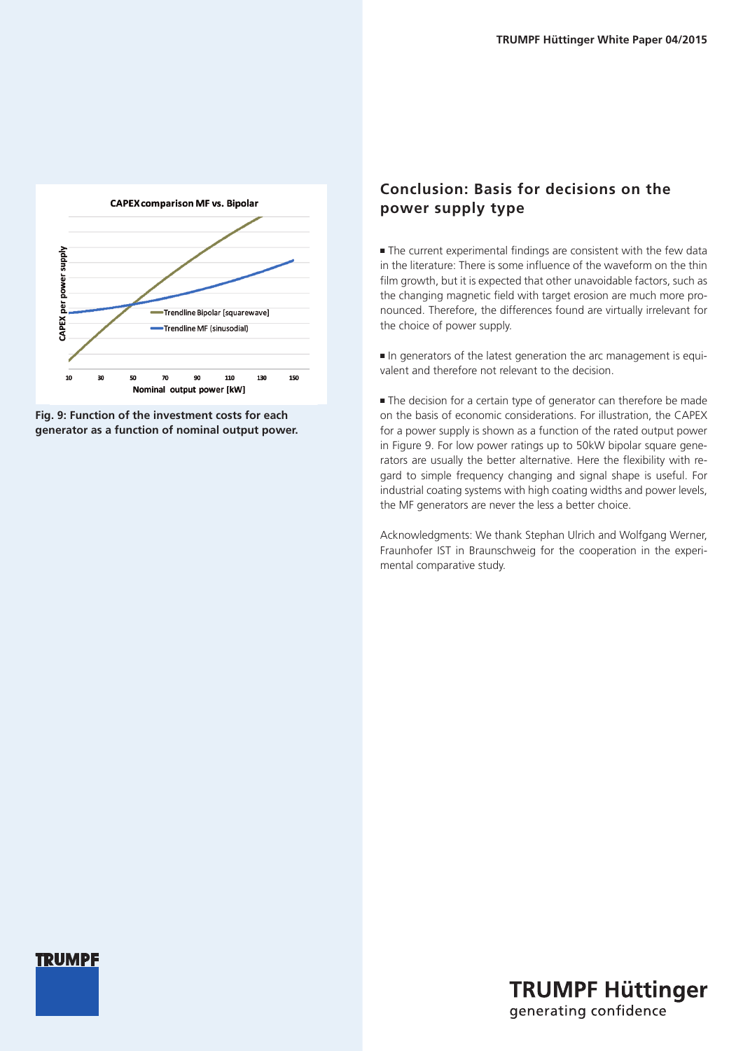

**Fig. 9: Function of the investment costs for each generator as a function of nominal output power.**

#### **Conclusion: Basis for decisions on the power supply type**

 $\blacksquare$  The current experimental findings are consistent with the few data in the literature: There is some influence of the waveform on the thin film growth, but it is expected that other unavoidable factors, such as the changing magnetic field with target erosion are much more pronounced. Therefore, the differences found are virtually irrelevant for the choice of power supply.

n In generators of the latest generation the arc management is equivalent and therefore not relevant to the decision.

 $\blacksquare$  The decision for a certain type of generator can therefore be made on the basis of economic considerations. For illustration, the CAPEX for a power supply is shown as a function of the rated output power in Figure 9. For low power ratings up to 50kW bipolar square generators are usually the better alternative. Here the flexibility with regard to simple frequency changing and signal shape is useful. For industrial coating systems with high coating widths and power levels, the MF generators are never the less a better choice.

Acknowledgments: We thank Stephan Ulrich and Wolfgang Werner, Fraunhofer IST in Braunschweig for the cooperation in the experimental comparative study.



**TRUMPF Hüttinger** generating confidence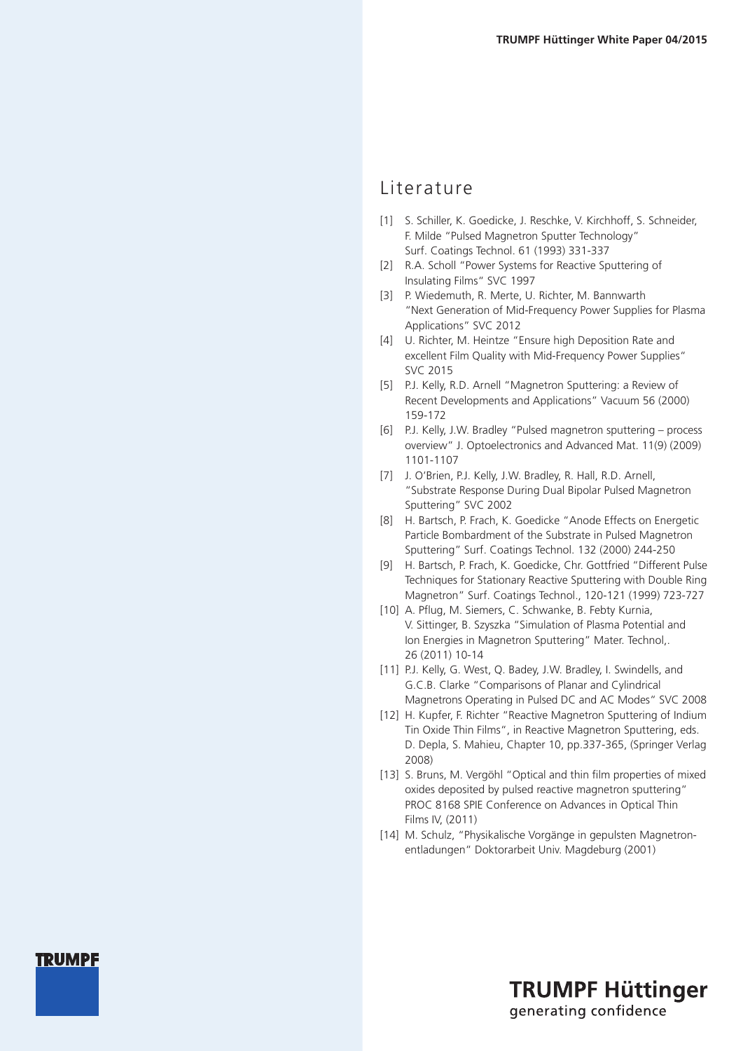#### Literature

- [1] S. Schiller, K. Goedicke, J. Reschke, V. Kirchhoff, S. Schneider, F. Milde "Pulsed Magnetron Sputter Technology" Surf. Coatings Technol. 61 (1993) 331-337
- [2] R.A. Scholl "Power Systems for Reactive Sputtering of Insulating Films" SVC 1997
- [3] P. Wiedemuth, R. Merte, U. Richter, M. Bannwarth "Next Generation of Mid-Frequency Power Supplies for Plasma Applications" SVC 2012
- [4] U. Richter, M. Heintze "Ensure high Deposition Rate and excellent Film Quality with Mid-Frequency Power Supplies" SVC 2015
- [5] P.J. Kelly, R.D. Arnell "Magnetron Sputtering: a Review of Recent Developments and Applications" Vacuum 56 (2000) 159-172
- [6] P.J. Kelly, J.W. Bradley "Pulsed magnetron sputtering process overview" J. Optoelectronics and Advanced Mat. 11(9) (2009) 1101-1107
- [7] J. O'Brien, P.J. Kelly, J.W. Bradley, R. Hall, R.D. Arnell, "Substrate Response During Dual Bipolar Pulsed Magnetron Sputtering" SVC 2002
- [8] H. Bartsch, P. Frach, K. Goedicke "Anode Effects on Energetic Particle Bombardment of the Substrate in Pulsed Magnetron Sputtering" Surf. Coatings Technol. 132 (2000) 244-250
- [9] H. Bartsch, P. Frach, K. Goedicke, Chr. Gottfried "Different Pulse Techniques for Stationary Reactive Sputtering with Double Ring Magnetron" Surf. Coatings Technol., 120-121 (1999) 723-727
- [10] A. Pflug, M. Siemers, C. Schwanke, B. Febty Kurnia, V. Sittinger, B. Szyszka "Simulation of Plasma Potential and Ion Energies in Magnetron Sputtering" Mater. Technol,. 26 (2011) 10-14
- [11] P.J. Kelly, G. West, Q. Badey, J.W. Bradley, I. Swindells, and G.C.B. Clarke "Comparisons of Planar and Cylindrical Magnetrons Operating in Pulsed DC and AC Modes" SVC 2008
- [12] H. Kupfer, F. Richter "Reactive Magnetron Sputtering of Indium Tin Oxide Thin Films", in Reactive Magnetron Sputtering, eds. D. Depla, S. Mahieu, Chapter 10, pp.337-365, (Springer Verlag 2008)
- [13] S. Bruns, M. Vergöhl "Optical and thin film properties of mixed oxides deposited by pulsed reactive magnetron sputtering" PROC 8168 SPIE Conference on Advances in Optical Thin Films IV, (2011)
- [14] M. Schulz, "Physikalische Vorgänge in gepulsten Magnetronentladungen" Doktorarbeit Univ. Magdeburg (2001)

### **TRUMPF Hüttinger** generating confidence

### **TRUMPF**